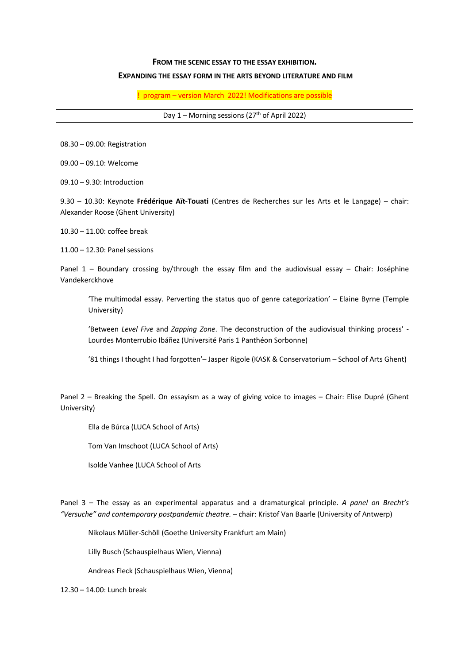## **FROM THE SCENIC ESSAY TO THE ESSAY EXHIBITION.**

## **EXPANDING THE ESSAY FORM IN THE ARTS BEYOND LITERATURE AND FILM**

! program – version March 2022! Modifications are possible

Day  $1$  – Morning sessions (27<sup>th</sup> of April 2022)

08.30 – 09.00: Registration

09.00 – 09.10: Welcome

09.10 – 9.30: Introduction

9.30 – 10.30: Keynote **Frédérique Aït-Touati** (Centres de Recherches sur les Arts et le Langage) – chair: Alexander Roose (Ghent University)

 $10.30 - 11.00$ ; coffee break

11.00 – 12.30: Panel sessions

Panel 1 – Boundary crossing by/through the essay film and the audiovisual essay – Chair: Joséphine Vandekerckhove

'The multimodal essay. Perverting the status quo of genre categorization' – Elaine Byrne (Temple University)

'Between *Level Five* and *Zapping Zone*. The deconstruction of the audiovisual thinking process' - Lourdes Monterrubio Ibáñez (Université Paris 1 Panthéon Sorbonne)

'81 things I thought I had forgotten'– Jasper Rigole (KASK & Conservatorium – School of Arts Ghent)

Panel 2 – Breaking the Spell. On essayism as a way of giving voice to images – Chair: Elise Dupré (Ghent University)

Ella de Búrca (LUCA School of Arts)

Tom Van Imschoot (LUCA School of Arts)

Isolde Vanhee (LUCA School of Arts

Panel 3 – The essay as an experimental apparatus and a dramaturgical principle. *A panel on Brecht's "Versuche" and contemporary postpandemic theatre.* – chair: Kristof Van Baarle (University of Antwerp)

Nikolaus Müller-Schöll (Goethe University Frankfurt am Main)

Lilly Busch (Schauspielhaus Wien, Vienna)

Andreas Fleck (Schauspielhaus Wien, Vienna)

12.30 – 14.00: Lunch break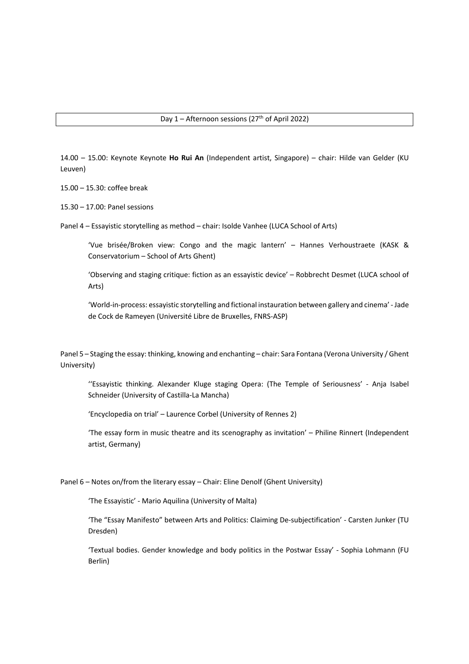14.00 – 15.00: Keynote Keynote **Ho Rui An** (Independent artist, Singapore) – chair: Hilde van Gelder (KU Leuven)

15.00 – 15.30: coffee break

15.30 – 17.00: Panel sessions

Panel 4 – Essayistic storytelling as method – chair: Isolde Vanhee (LUCA School of Arts)

'Vue brisée/Broken view: Congo and the magic lantern' – Hannes Verhoustraete (KASK & Conservatorium – School of Arts Ghent)

'Observing and staging critique: fiction as an essayistic device' – Robbrecht Desmet (LUCA school of Arts)

'World-in-process: essayistic storytelling and fictional instauration between gallery and cinema' - Jade de Cock de Rameyen (Université Libre de Bruxelles, FNRS-ASP)

Panel 5 – Staging the essay: thinking, knowing and enchanting – chair: Sara Fontana (Verona University / Ghent University)

''Essayistic thinking. Alexander Kluge staging Opera: (The Temple of Seriousness' - Anja Isabel Schneider (University of Castilla-La Mancha)

'Encyclopedia on trial' – Laurence Corbel (University of Rennes 2)

'The essay form in music theatre and its scenography as invitation' – Philine Rinnert (Independent artist, Germany)

Panel 6 – Notes on/from the literary essay – Chair: Eline Denolf (Ghent University)

'The Essayistic' - Mario Aquilina (University of Malta)

'The "Essay Manifesto" between Arts and Politics: Claiming De-subjectification' - Carsten Junker (TU Dresden)

'Textual bodies. Gender knowledge and body politics in the Postwar Essay' - Sophia Lohmann (FU Berlin)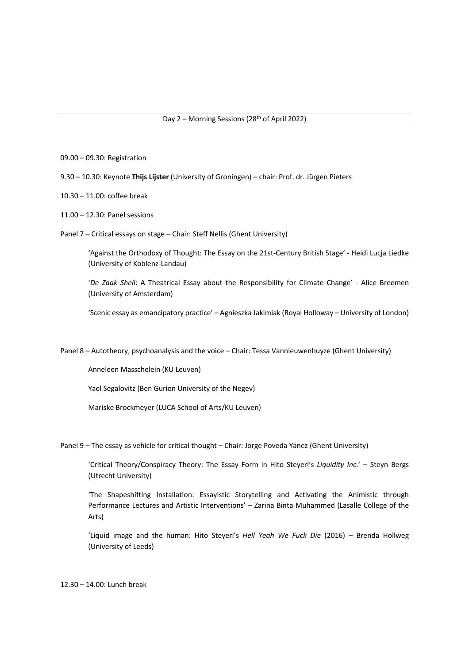- 09.00 09.30: Registration
- 9.30 10.30: Keynote **Thijs Lijster** (University of Groningen) chair: Prof. dr. Jürgen Pieters
- 10.30 11.00: coffee break
- 11.00 12.30: Panel sessions
- Panel 7 Critical essays on stage Chair: Steff Nellis (Ghent University)

'Against the Orthodoxy of Thought: The Essay on the 21st-Century British Stage' - Heidi Lucja Liedke (University of Koblenz-Landau)

'*De Zaak Shell*: A Theatrical Essay about the Responsibility for Climate Change' - Alice Breemen (University of Amsterdam)

'Scenic essay as emancipatory practice' – Agnieszka Jakimiak (Royal Holloway – University of London)

Panel 8 – Autotheory, psychoanalysis and the voice – Chair: Tessa Vannieuwenhuyze (Ghent University)

Anneleen Masschelein (KU Leuven)

Yael Segalovitz (Ben Gurion University of the Negev)

Mariske Brockmeyer (LUCA School of Arts/KU Leuven)

Panel 9 – The essay as vehicle for critical thought – Chair: Jorge Poveda Yánez (Ghent University)

'Critical Theory/Conspiracy Theory: The Essay Form in Hito Steyerl's *Liquidity Inc.*' – Steyn Bergs (Utrecht University)

'The Shapeshifting Installation: Essayistic Storytelling and Activating the Animistic through Performance Lectures and Artistic Interventions' – Zarina Binta Muhammed (Lasalle College of the Arts)

'Liquid image and the human: Hito Steyerl's *Hell Yeah We Fuck Die* (2016) – Brenda Hollweg (University of Leeds)

12.30 – 14.00: Lunch break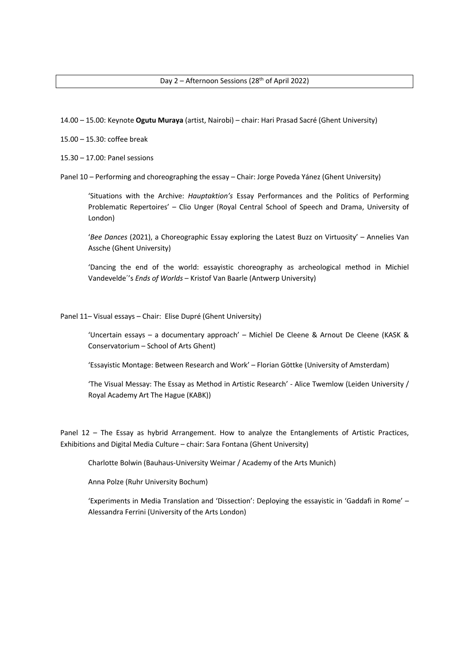14.00 – 15.00: Keynote **Ogutu Muraya** (artist, Nairobi) – chair: Hari Prasad Sacré (Ghent University)

15.00 – 15.30: coffee break

15.30 – 17.00: Panel sessions

Panel 10 – Performing and choreographing the essay – Chair: Jorge Poveda Yánez (Ghent University)

'Situations with the Archive: *Hauptaktion's* Essay Performances and the Politics of Performing Problematic Repertoires' – Clio Unger (Royal Central School of Speech and Drama, University of London)

'*Bee Dances* (2021), a Choreographic Essay exploring the Latest Buzz on Virtuosity' – Annelies Van Assche (Ghent University)

'Dancing the end of the world: essayistic choreography as archeological method in Michiel Vandevelde´'s *Ends of Worlds* – Kristof Van Baarle (Antwerp University)

Panel 11– Visual essays – Chair: Elise Dupré (Ghent University)

'Uncertain essays – a documentary approach' – Michiel De Cleene & Arnout De Cleene (KASK & Conservatorium – School of Arts Ghent)

'Essayistic Montage: Between Research and Work' – Florian Göttke (University of Amsterdam)

'The Visual Messay: The Essay as Method in Artistic Research' - Alice Twemlow (Leiden University / Royal Academy Art The Hague (KABK))

Panel 12 – The Essay as hybrid Arrangement. How to analyze the Entanglements of Artistic Practices, Exhibitions and Digital Media Culture – chair: Sara Fontana (Ghent University)

Charlotte Bolwin (Bauhaus-University Weimar / Academy of the Arts Munich)

Anna Polze (Ruhr University Bochum)

'Experiments in Media Translation and 'Dissection': Deploying the essayistic in 'Gaddafi in Rome' – Alessandra Ferrini (University of the Arts London)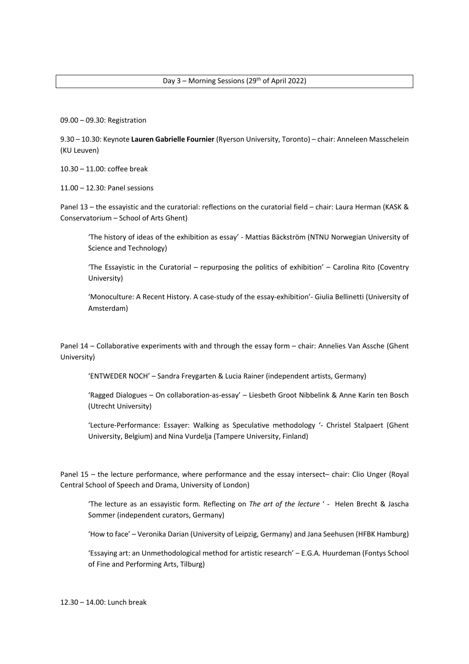09.00 – 09.30: Registration

9.30 – 10.30: Keynote **Lauren Gabrielle Fournier** (Ryerson University, Toronto) – chair: Anneleen Masschelein (KU Leuven)

10.30 – 11.00: coffee break

11.00 – 12.30: Panel sessions

Panel 13 – the essayistic and the curatorial: reflections on the curatorial field – chair: Laura Herman (KASK & Conservatorium – School of Arts Ghent)

'The history of ideas of the exhibition as essay' - Mattias Bäckström (NTNU Norwegian University of Science and Technology)

'The Essayistic in the Curatorial – repurposing the politics of exhibition' – Carolina Rito (Coventry University)

'Monoculture: A Recent History. A case-study of the essay-exhibition'- Giulia Bellinetti (University of Amsterdam)

Panel 14 – Collaborative experiments with and through the essay form – chair: Annelies Van Assche (Ghent University)

'ENTWEDER NOCH' – Sandra Freygarten & Lucia Rainer (independent artists, Germany)

'Ragged Dialogues – On collaboration-as-essay' – Liesbeth Groot Nibbelink & Anne Karin ten Bosch (Utrecht University)

'Lecture-Performance: Essayer: Walking as Speculative methodology '- Christel Stalpaert (Ghent University, Belgium) and Nina Vurdelja (Tampere University, Finland)

Panel 15 – the lecture performance, where performance and the essay intersect– chair: Clio Unger (Royal Central School of Speech and Drama, University of London)

'The lecture as an essayistic form. Reflecting on *The art of the lecture* ' - Helen Brecht & Jascha Sommer (independent curators, Germany)

'How to face' – Veronika Darian (University of Leipzig, Germany) and Jana Seehusen (HFBK Hamburg)

'Essaying art: an Unmethodological method for artistic research' – E.G.A. Huurdeman (Fontys School of Fine and Performing Arts, Tilburg)

12.30 – 14.00: Lunch break